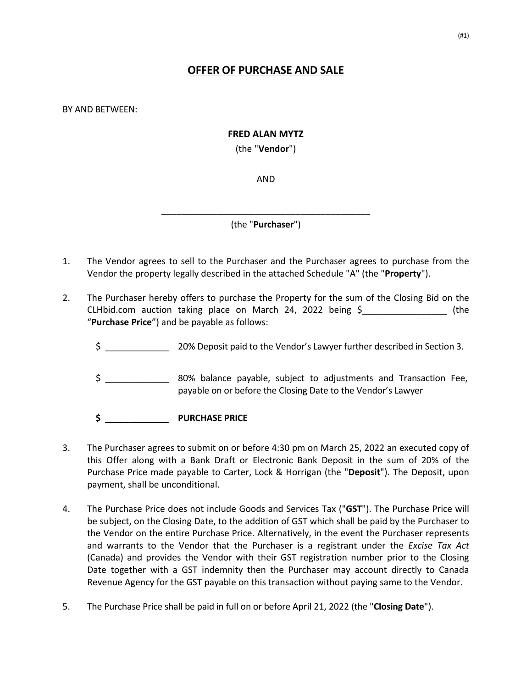# **OFFER OF PURCHASE AND SALE**

BY AND BETWEEN:

### **FRED ALAN MYTZ**

(the "**Vendor**")

AND

\_\_\_\_\_\_\_\_\_\_\_\_\_\_\_\_\_\_\_\_\_\_\_\_\_\_\_\_\_\_\_\_\_\_\_\_\_\_\_\_\_\_ (the "**Purchaser**")

- 1. The Vendor agrees to sell to the Purchaser and the Purchaser agrees to purchase from the Vendor the property legally described in the attached Schedule "A" (the "**Property**").
- 2. The Purchaser hereby offers to purchase the Property for the sum of the Closing Bid on the CLHbid.com auction taking place on March 24, 2022 being \$\_\_\_\_\_\_\_\_\_\_\_\_\_\_\_\_\_ (the "**Purchase Price**") and be payable as follows:
	- \$ \_\_\_\_\_\_\_\_\_\_\_\_\_ 20% Deposit paid to the Vendor's Lawyer further described in Section 3.
	- \$ \_\_\_\_\_\_\_\_\_\_\_\_\_ 80% balance payable, subject to adjustments and Transaction Fee, payable on or before the Closing Date to the Vendor's Lawyer

**\$ \_\_\_\_\_\_\_\_\_\_\_\_\_ PURCHASE PRICE**

- 3. The Purchaser agrees to submit on or before 4:30 pm on March 25, 2022 an executed copy of this Offer along with a Bank Draft or Electronic Bank Deposit in the sum of 20% of the Purchase Price made payable to Carter, Lock & Horrigan (the "**Deposit**"). The Deposit, upon payment, shall be unconditional.
- 4. The Purchase Price does not include Goods and Services Tax ("**GST**"). The Purchase Price will be subject, on the Closing Date, to the addition of GST which shall be paid by the Purchaser to the Vendor on the entire Purchase Price. Alternatively, in the event the Purchaser represents and warrants to the Vendor that the Purchaser is a registrant under the *Excise Tax Act*  (Canada) and provides the Vendor with their GST registration number prior to the Closing Date together with a GST indemnity then the Purchaser may account directly to Canada Revenue Agency for the GST payable on this transaction without paying same to the Vendor.
- 5. The Purchase Price shall be paid in full on or before April 21, 2022 (the "**Closing Date**").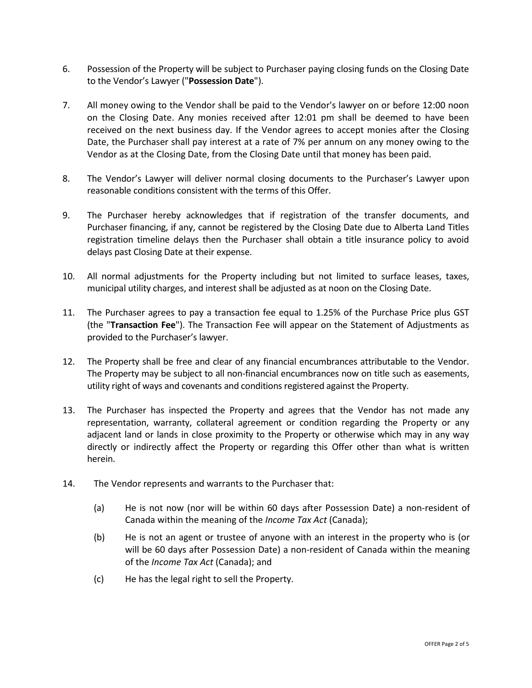- 6. Possession of the Property will be subject to Purchaser paying closing funds on the Closing Date to the Vendor's Lawyer ("**Possession Date**").
- 7. All money owing to the Vendor shall be paid to the Vendor's lawyer on or before 12:00 noon on the Closing Date. Any monies received after 12:01 pm shall be deemed to have been received on the next business day. If the Vendor agrees to accept monies after the Closing Date, the Purchaser shall pay interest at a rate of 7% per annum on any money owing to the Vendor as at the Closing Date, from the Closing Date until that money has been paid.
- 8. The Vendor's Lawyer will deliver normal closing documents to the Purchaser's Lawyer upon reasonable conditions consistent with the terms of this Offer.
- 9. The Purchaser hereby acknowledges that if registration of the transfer documents, and Purchaser financing, if any, cannot be registered by the Closing Date due to Alberta Land Titles registration timeline delays then the Purchaser shall obtain a title insurance policy to avoid delays past Closing Date at their expense.
- 10. All normal adjustments for the Property including but not limited to surface leases, taxes, municipal utility charges, and interest shall be adjusted as at noon on the Closing Date.
- 11. The Purchaser agrees to pay a transaction fee equal to 1.25% of the Purchase Price plus GST (the "**Transaction Fee**"). The Transaction Fee will appear on the Statement of Adjustments as provided to the Purchaser's lawyer.
- 12. The Property shall be free and clear of any financial encumbrances attributable to the Vendor. The Property may be subject to all non-financial encumbrances now on title such as easements, utility right of ways and covenants and conditions registered against the Property.
- 13. The Purchaser has inspected the Property and agrees that the Vendor has not made any representation, warranty, collateral agreement or condition regarding the Property or any adjacent land or lands in close proximity to the Property or otherwise which may in any way directly or indirectly affect the Property or regarding this Offer other than what is written herein.
- 14. The Vendor represents and warrants to the Purchaser that:
	- (a) He is not now (nor will be within 60 days after Possession Date) a non-resident of Canada within the meaning of the *Income Tax Act* (Canada);
	- (b) He is not an agent or trustee of anyone with an interest in the property who is (or will be 60 days after Possession Date) a non-resident of Canada within the meaning of the *Income Tax Act* (Canada); and
	- (c) He has the legal right to sell the Property.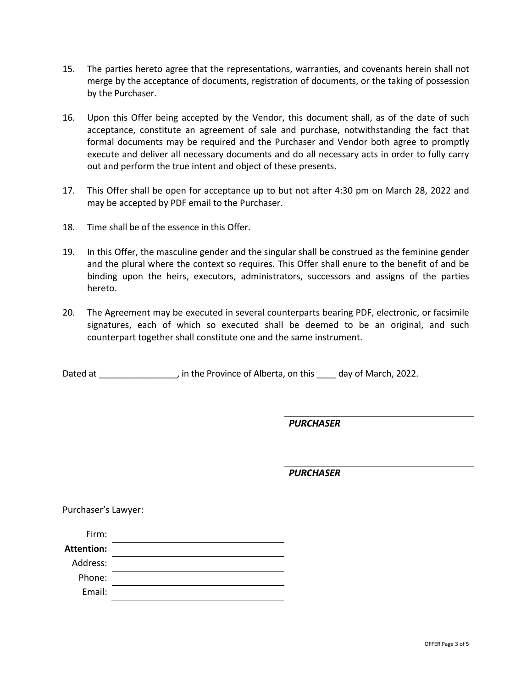- 15. The parties hereto agree that the representations, warranties, and covenants herein shall not merge by the acceptance of documents, registration of documents, or the taking of possession by the Purchaser.
- 16. Upon this Offer being accepted by the Vendor, this document shall, as of the date of such acceptance, constitute an agreement of sale and purchase, notwithstanding the fact that formal documents may be required and the Purchaser and Vendor both agree to promptly execute and deliver all necessary documents and do all necessary acts in order to fully carry out and perform the true intent and object of these presents.
- 17. This Offer shall be open for acceptance up to but not after 4:30 pm on March 28, 2022 and may be accepted by PDF email to the Purchaser.
- 18. Time shall be of the essence in this Offer.
- 19. In this Offer, the masculine gender and the singular shall be construed as the feminine gender and the plural where the context so requires. This Offer shall enure to the benefit of and be binding upon the heirs, executors, administrators, successors and assigns of the parties hereto.
- 20. The Agreement may be executed in several counterparts bearing PDF, electronic, or facsimile signatures, each of which so executed shall be deemed to be an original, and such counterpart together shall constitute one and the same instrument.

Dated at \_\_\_\_\_\_\_\_\_\_\_\_\_\_, in the Province of Alberta, on this \_\_\_\_ day of March, 2022.

*PURCHASER*

*PURCHASER*

Purchaser's Lawyer:

| Firm:             |  |
|-------------------|--|
| <b>Attention:</b> |  |
| Address:          |  |
| Phone:            |  |
| Email:            |  |
|                   |  |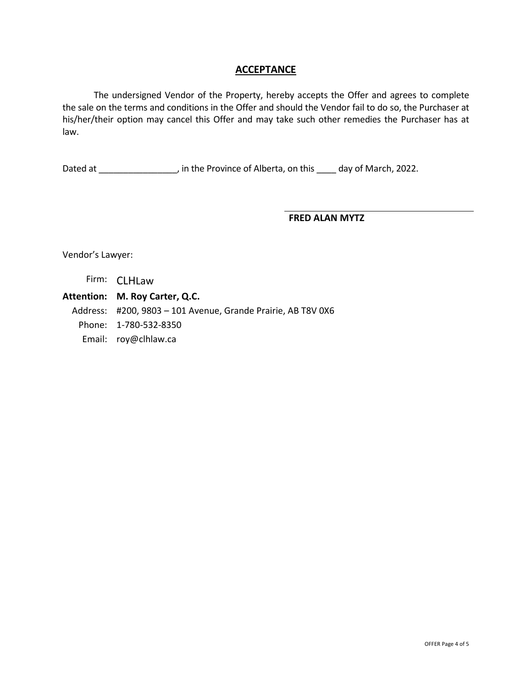### **ACCEPTANCE**

The undersigned Vendor of the Property, hereby accepts the Offer and agrees to complete the sale on the terms and conditions in the Offer and should the Vendor fail to do so, the Purchaser at his/her/their option may cancel this Offer and may take such other remedies the Purchaser has at law.

Dated at \_\_\_\_\_\_\_\_\_\_\_\_\_\_\_\_, in the Province of Alberta, on this \_\_\_\_ day of March, 2022.

#### **FRED ALAN MYTZ**

Vendor's Lawyer:

### Firm: CLHLaw

**Attention: M. Roy Carter, Q.C.**

Address: #200, 9803 – 101 Avenue, Grande Prairie, AB T8V 0X6

- Phone: 1-780-532-8350
- Email: roy@clhlaw.ca